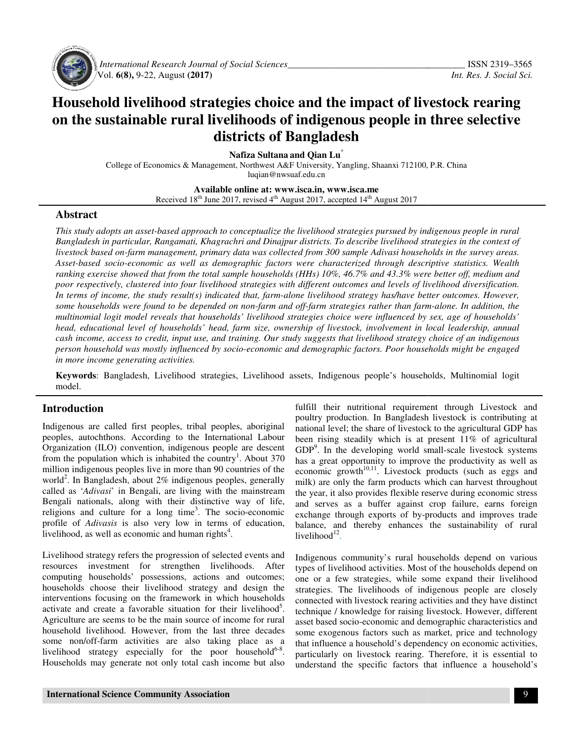

 *International Research Journal Journal of Social Sciences\_\_\_\_\_\_\_\_\_\_\_\_\_\_\_\_\_\_\_\_\_\_\_\_\_\_\_\_\_\_\_\_\_\_\_* Vol. **6(8),** 9-22, August **(2017)** 

# **Household livelihood strategies choice and the impact of livestock rearing**  Household livelihood strategies choice and the impact of livestock rearing<br>on the sustainable rural livelihoods of indigenous people in three selective **districts of Bangladesh districts of**

**Nafiza Sultana and Qian Lu**\*

College of Economics & Management, Northwest A&F University, Yangling, Shaanxi 712100, P.R. China<br>luqian@nwsuaf.edu.cn

**Available Available online at: www.isca.in, www.isca.me**  Received 18<sup>th</sup> June 2017, revised 4<sup>th</sup> August 2017, accepted 14<sup>th</sup> August 2017

#### **Abstract**

*This study adopts an asset-based approach to conceptualize the livelihood strategies pursued by indigenous people in rural*  This study adopts an asset-based approach to conceptualize the livelihood strategies pursued by indigenous people in rural<br>Bangladesh in particular, Rangamati, Khagrachri and Dinajpur districts. To describe livelihood stra *livestock based on-farm management, primary data was collected from 300 sample Adivasi households in the survey areas.*  livestock based on-farm management, primary data was collected from 300 sample Adivasi households in the survey areas.<br>Asset-based socio-economic as well as demographic factors were characterized through descript *ranking exercise showed that from the total sample households (HHs) 10%, 46.7% and 43.3% were better off, medium and poor respectively, clustered into four livelihood strategies with different outcomes and levels of livelihood d* In terms of income, the study result(s) indicated that, farm-alone livelihood strategy has/have better outcomes. However, some households were found to be depended on non-farm and off-farm strategies rather than farm-alone. In addition, the *multinomial logit model reveals that households' livelihood strategies choice were influenced by sex, age of households' head, educational level of households' head, farm size, ownership of livestock, involvement in local leadership, annual*  multinomial logit model reveals that households' livelihood strategies choice were influenced by sex, age of households'<br>head, educational level of households' head, farm size, ownership of livestock, involvement in local cash income, access to credit, input use, and training. Our study suggests that livelihood strategy choice of an indigenous<br>person household was mostly influenced by socio-economic and demographic factors. Poor households *in more income generating activities. exercise showed that from the total sample households (HHs) 10%, 46.7% and 43.3% were better off, m*<br>pectively, clustered into four livelihood strategies with different outcomes and levels of livelihood diver<br>of income, t *describe livelihood strategies in the context of*<br>*ample Adivasi households in the survey areas.*<br>*terized through descriptive statistics. Wealth*<br>16.7% and 43.3% were better off, medium and<br>comes and levels of livelihood

**Keywords**: Bangladesh, Livelihood strategies, Livelihood assets, Indigenous people's households, Multinomial logit model.

### **Introduction**

Indigenous are called first peoples, tribal peoples, aboriginal peoples, autochthons. According to the International Labour Organization (ILO) convention, indigenous people are descent from the population which is inhabited the country . About 370 million indigenous peoples live in more than 90 countries of the world<sup>2</sup>. In Bangladesh, about 2% indigenous peoples, generally called as '*Adivasi*' in Bengali, are living with the mainstream Bengali nationals, along with their distinctive way of life, million indigenous peoples live in more than 90 countries of the world<sup>2</sup>. In Bangladesh, about 2% indigenous peoples, generally called as *'Adivasi'* in Bengali, are living with the mainstream Bengali nationals, along wi profile of *Adivasis* is also very low in terms of education, livelihood as well as economic and human rights<sup>4</sup> livelihood, as well as economic and human rights . Exampladesh, Livelihood strategies, Livelihood<br> **Dn**<br>
e called first peoples, tribal peoples, aboriginal<br>
chthons. According to the International Labour<br>
(ILO) convention, indigenous people are descent<br>
ulation which is i

Livelihood strategy refers the progression of selected events and resources investment for strengthen livelihoods. After Livelihood strategy refers the progression of selected events and<br>resources investment for strengthen livelihoods. After<br>computing households' possessions, actions and outcomes; households choose their livelihood strategy and design the interventions focusing on the framework in which households activate and create a favorable situation for their livelihood<sup>5</sup>. interventions focusing on the framework in which households activate and create a favorable situation for their livelihood . Agriculture are seems to be the main source of income for rural household livelihood. However, from the last three decades some non/off-farm activities are also taking place as a Agriculture are seems to be the main source of income for rural<br>household livelihood. However, from the last three decades<br>some non/off-farm activities are also taking place as a<br>livelihood strategy especially for the poor Households may generate not only total cash income but also

fulfill their nutritional requirement through Livestock and poultry production. In Bangladesh livestock is contributing at national level; the share of livestock to the agricultural GDP has been rising steadily which is at present 11% of agricultural GDP<sup>9</sup>. In the developing world small has a great opportunity to improve the productivity as well as economic growth $10,11$ . Livestock products (such as eggs and milk) are only the farm products which can harvest throughout the year, it also provides flexible rese and serves as a buffer against crop failure, earns foreign exchange through exports of by-products and improves trade balance, and thereby enhances the sustainability of rural  $livelihood<sup>12</sup>$ . neir nutritional requirement through Livestock and<br>production. In Bangladesh livestock is contributing at<br>level; the share of livestock to the agricultural GDP has<br>ing steadily which is at present 11% of agricultural<br>n the nomic growth<sup>10,11</sup>. Livestock products (such as eggs and k) are only the farm products which can harvest throughout year, it also provides flexible reserve during economic stress and serves as a buffer against crop failure, earns foreign<br>exchange through exports of by-products and improves trade<br>balance, and thereby enhances the sustainability of rural<br>livelihood<sup>12</sup>.<br>Indigenous community's rural h

Indigenous community's rural households depend on various types of livelihood activities. Most of the households depend on one or a few strategies, while some expand their livelihood strategies. The livelihoods of indigenous people are closely types of livelihood activities. Most of the households depend on<br>one or a few strategies, while some expand their livelihood<br>strategies. The livelihoods of indigenous people are closely<br>connected with livestock rearing act technique / knowledge for raising livestock. However, different asset based socio-economic and demographic characteristics and asset based socio-economic and demographic characteristics and<br>some exogenous factors such as market, price and technology that influence a household's dependency on economic activities, particularly on livestock rearing. Therefore, it is essential to particularly on livestock rearing. Therefore, it is essential to understand the specific factors that influence a household's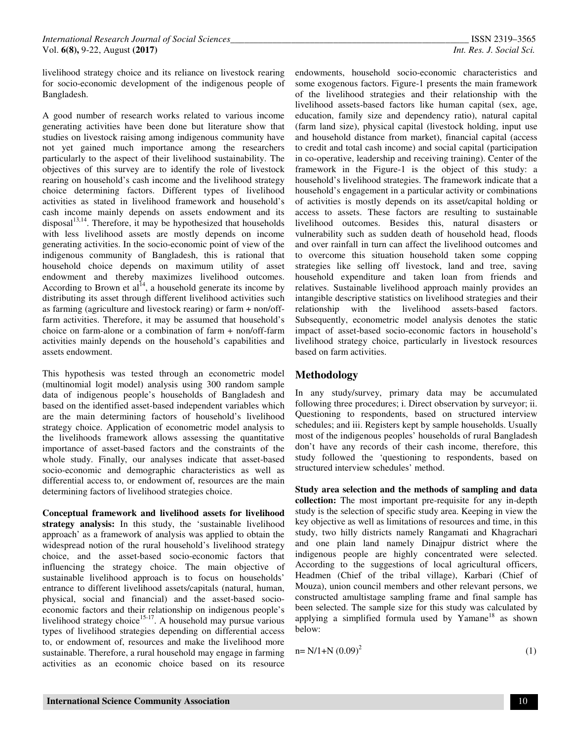livelihood strategy choice and its reliance on livestock rearing for socio-economic development of the indigenous people of Bangladesh.

A good number of research works related to various income generating activities have been done but literature show that studies on livestock raising among indigenous community have not yet gained much importance among the researchers particularly to the aspect of their livelihood sustainability. The objectives of this survey are to identify the role of livestock rearing on household's cash income and the livelihood strategy choice determining factors. Different types of livelihood activities as stated in livelihood framework and household's cash income mainly depends on assets endowment and its  $disposal<sup>13,14</sup>$ . Therefore, it may be hypothesized that households with less livelihood assets are mostly depends on income generating activities. In the socio-economic point of view of the indigenous community of Bangladesh, this is rational that household choice depends on maximum utility of asset endowment and thereby maximizes livelihood outcomes. According to Brown et  $al<sup>14</sup>$ , a household generate its income by distributing its asset through different livelihood activities such as farming (agriculture and livestock rearing) or farm + non/offfarm activities. Therefore, it may be assumed that household's choice on farm-alone or a combination of farm + non/off-farm activities mainly depends on the household's capabilities and assets endowment.

This hypothesis was tested through an econometric model (multinomial logit model) analysis using 300 random sample data of indigenous people's households of Bangladesh and based on the identified asset-based independent variables which are the main determining factors of household's livelihood strategy choice. Application of econometric model analysis to the livelihoods framework allows assessing the quantitative importance of asset-based factors and the constraints of the whole study. Finally, our analyses indicate that asset-based socio-economic and demographic characteristics as well as differential access to, or endowment of, resources are the main determining factors of livelihood strategies choice.

**Conceptual framework and livelihood assets for livelihood strategy analysis:** In this study, the 'sustainable livelihood approach' as a framework of analysis was applied to obtain the widespread notion of the rural household's livelihood strategy choice, and the asset-based socio-economic factors that influencing the strategy choice. The main objective of sustainable livelihood approach is to focus on households' entrance to different livelihood assets/capitals (natural, human, physical, social and financial) and the asset-based socioeconomic factors and their relationship on indigenous people's livelihood strategy choice<sup>15-17</sup>. A household may pursue various types of livelihood strategies depending on differential access to, or endowment of, resources and make the livelihood more sustainable. Therefore, a rural household may engage in farming activities as an economic choice based on its resource

endowments, household socio-economic characteristics and some exogenous factors. Figure-1 presents the main framework of the livelihood strategies and their relationship with the livelihood assets-based factors like human capital (sex, age, education, family size and dependency ratio), natural capital (farm land size), physical capital (livestock holding, input use and household distance from market), financial capital (access to credit and total cash income) and social capital (participation in co-operative, leadership and receiving training). Center of the framework in the Figure-1 is the object of this study: a household's livelihood strategies. The framework indicate that a household's engagement in a particular activity or combinations of activities is mostly depends on its asset/capital holding or access to assets. These factors are resulting to sustainable livelihood outcomes. Besides this, natural disasters or vulnerability such as sudden death of household head, floods and over rainfall in turn can affect the livelihood outcomes and to overcome this situation household taken some copping strategies like selling off livestock, land and tree, saving household expenditure and taken loan from friends and relatives. Sustainable livelihood approach mainly provides an intangible descriptive statistics on livelihood strategies and their relationship with the livelihood assets-based factors. Subsequently, econometric model analysis denotes the static impact of asset-based socio-economic factors in household's livelihood strategy choice, particularly in livestock resources based on farm activities.

## **Methodology**

In any study/survey, primary data may be accumulated following three procedures; i. Direct observation by surveyor; ii. Questioning to respondents, based on structured interview schedules; and iii. Registers kept by sample households. Usually most of the indigenous peoples' households of rural Bangladesh don't have any records of their cash income, therefore, this study followed the 'questioning to respondents, based on structured interview schedules' method.

**Study area selection and the methods of sampling and data collection:** The most important pre-requisite for any in-depth study is the selection of specific study area. Keeping in view the key objective as well as limitations of resources and time, in this study, two hilly districts namely Rangamati and Khagrachari and one plain land namely Dinajpur district where the indigenous people are highly concentrated were selected. According to the suggestions of local agricultural officers, Headmen (Chief of the tribal village), Karbari (Chief of Mouza), union council members and other relevant persons, we constructed amultistage sampling frame and final sample has been selected. The sample size for this study was calculated by applying a simplified formula used by  $Ya$ mane<sup>18</sup> as shown below:

$$
n = N/1 + N (0.09)^2
$$
 (1)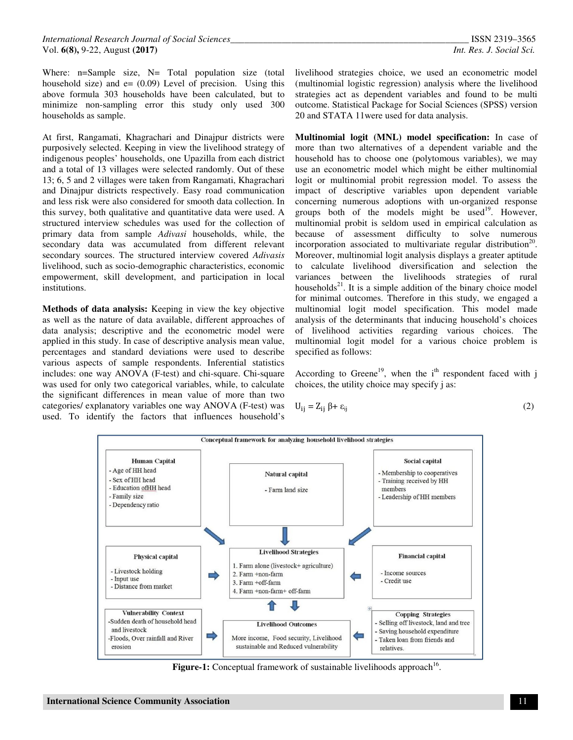Where: n=Sample size, N= Total population size (total household size) and  $e = (0.09)$  Level of precision. Using this above formula 303 households have been calculated, but to minimize non-sampling error this study only used 300 households as sample.

At first, Rangamati, Khagrachari and Dinajpur districts were purposively selected. Keeping in view the livelihood strategy of indigenous peoples' households, one Upazilla from each district and a total of 13 villages were selected randomly. Out of these 13; 6, 5 and 2 villages were taken from Rangamati, Khagrachari and Dinajpur districts respectively. Easy road communication and less risk were also considered for smooth data collection. In this survey, both qualitative and quantitative data were used. A structured interview schedules was used for the collection of primary data from sample *Adivasi* households, while, the secondary data was accumulated from different relevant secondary sources. The structured interview covered *Adivasis* livelihood, such as socio-demographic characteristics, economic empowerment, skill development, and participation in local institutions.

**Methods of data analysis:** Keeping in view the key objective as well as the nature of data available, different approaches of data analysis; descriptive and the econometric model were applied in this study. In case of descriptive analysis mean value, percentages and standard deviations were used to describe various aspects of sample respondents. Inferential statistics includes: one way ANOVA (F-test) and chi-square. Chi-square was used for only two categorical variables, while, to calculate the significant differences in mean value of more than two categories/ explanatory variables one way ANOVA (F-test) was used. To identify the factors that influences household's

livelihood strategies choice, we used an econometric model (multinomial logistic regression) analysis where the livelihood strategies act as dependent variables and found to be multi outcome. Statistical Package for Social Sciences (SPSS) version 20 and STATA 11were used for data analysis.

**Multinomial logit (MNL) model specification:** In case of more than two alternatives of a dependent variable and the household has to choose one (polytomous variables), we may use an econometric model which might be either multinomial logit or multinomial probit regression model. To assess the impact of descriptive variables upon dependent variable concerning numerous adoptions with un-organized response groups both of the models might be used<sup>19</sup>. However, multinomial probit is seldom used in empirical calculation as because of assessment difficulty to solve numerous incorporation associated to multivariate regular distribution<sup>20</sup>. Moreover, multinomial logit analysis displays a greater aptitude to calculate livelihood diversification and selection the variances between the livelihoods strategies of rural households $^{21}$ . It is a simple addition of the binary choice model for minimal outcomes. Therefore in this study, we engaged a multinomial logit model specification. This model made analysis of the determinants that inducing household's choices of livelihood activities regarding various choices. The multinomial logit model for a various choice problem is specified as follows:

According to Greene<sup>19</sup>, when the  $i<sup>th</sup>$  respondent faced with j choices, the utility choice may specify j as:

$$
U_{ij} = Z_{ij} \beta + \varepsilon_{ij} \tag{2}
$$



Figure-1: Conceptual framework of sustainable livelihoods approach<sup>16</sup>.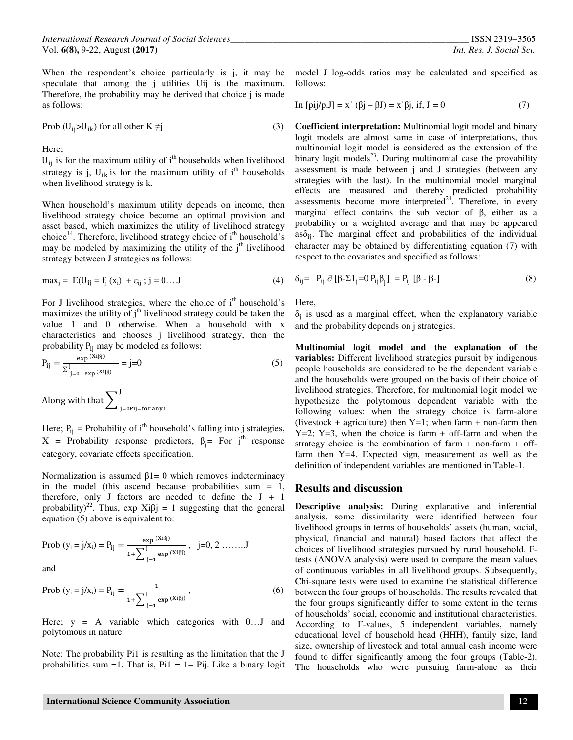*International Research Journal of Social Sciences\_\_\_\_\_\_\_\_\_\_\_\_\_\_\_\_\_\_\_\_\_\_\_\_\_\_\_\_\_\_\_\_\_\_\_\_\_\_\_\_\_\_\_\_\_\_\_\_\_\_\_* ISSN 2319–3565 Vol. **6(8),** 9-22, August **(2017)** *Int. Res. J. Social Sci.*

When the respondent's choice particularly is j, it may be model J log-odds ratios may be calculated and specified as speculate that among the *j* utilities U<sub>ij</sub> is the maximum. Therefore, the probability may be derived that choice j is made as follows:

$$
Prob (U_{ij} > U_{ik}) \text{ for all other } K \neq j \tag{3}
$$

Here;

 $U_{ij}$  is for the maximum utility of i<sup>th</sup> households when livelihood strategy is j,  $U_{ik}$  is for the maximum utility of i<sup>th</sup> households when livelihood strategy is k.

When household's maximum utility depends on income, then livelihood strategy choice become an optimal provision and asset based, which maximizes the utility of livelihood strategy choice<sup>14</sup>. Therefore, livelihood strategy choice of  $i<sup>th</sup>$  household's may be modeled by maximizing the utility of the  $j<sup>th</sup>$  livelihood strategy between J strategies as follows:

$$
max_j = E(U_{ij} = f_j(x_i) + \varepsilon_{ij}; j = 0...J
$$
 (4)

For J livelihood strategies, where the choice of  $i<sup>th</sup>$  household's maximizes the utility of  $j<sup>th</sup>$  livelihood strategy could be taken the value 1 and 0 otherwise. When a household with x characteristics and chooses j livelihood strategy, then the probability P<sub>ij</sub> may be modeled as follows:

$$
P_{ij} = \frac{\exp^{(Xi\beta j)}}{\sum_{j=0}^{J} \exp^{(Xi\beta j)}} = j=0
$$
 (5)

Along with that  $\sum\nolimits_{\,}^{J}_{\,$  j=0Pij=for any i

Here;  $P_{ij}$  = Probability of i<sup>th</sup> household's falling into j strategies,  $X =$  Probability response predictors,  $\beta_j =$  For  $j^{\text{th}}$  response category, covariate effects specification.

Normalization is assumed  $β1 = 0$  which removes indeterminacy in the model (this ascend because probabilities sum  $= 1$ , therefore, only J factors are needed to define the  $J + 1$ probability)<sup>22</sup>. Thus, exp Xi $\beta$ j = 1 suggesting that the general equation (5) above is equivalent to:

Prob (y<sub>i</sub> = j/x<sub>i</sub>) = P<sub>ij</sub> = 
$$
\frac{\exp^{(Xi\beta j)}}{1 + \sum_{j=1}^{J} \exp^{(Xi\beta j)}}
$$
, j=0, 2 .......J

and

Prob 
$$
(y_i = j/x_i) = P_{ij} = \frac{1}{1 + \sum_{j=1}^{J} \exp{(Xiijj)}}
$$
, (6)

Here;  $y = A$  variable which categories with  $0...J$  and polytomous in nature.

Note: The probability Pi1 is resulting as the limitation that the J probabilities sum =1. That is, Pi1 = 1− Pij. Like a binary logit follows:

In [pij/piJ] = x' (
$$
\beta j - \beta J
$$
) = x'  $\beta j$ , if, J = 0 (7)

**Coefficient interpretation:** Multinomial logit model and binary logit models are almost same in case of interpretations, thus multinomial logit model is considered as the extension of the binary logit models $^{23}$ . During multinomial case the provability assessment is made between j and J strategies (between any strategies with the last). In the multinomial model marginal effects are measured and thereby predicted probability assessments become more interpreted $^{24}$ . Therefore, in every marginal effect contains the sub vector of β, either as a probability or a weighted average and that may be appeared  $as\delta_{ij}$ . The marginal effect and probabilities of the individual character may be obtained by differentiating equation (7) with respect to the covariates and specified as follows:

$$
\delta_{ij} = P_{ij} \partial [\beta - \Sigma 1_j = 0 P_{ij} \beta_j] = P_{ij} [\beta - \beta -]
$$
\n(8)

Here,

 $\delta_j$  is used as a marginal effect, when the explanatory variable and the probability depends on j strategies.

**Multinomial logit model and the explanation of the variables:** Different livelihood strategies pursuit by indigenous people households are considered to be the dependent variable and the households were grouped on the basis of their choice of livelihood strategies. Therefore, for multinomial logit model we hypothesize the polytomous dependent variable with the following values: when the strategy choice is farm-alone (livestock + agriculture) then  $Y=1$ ; when farm + non-farm then  $Y=2$ ;  $Y=3$ , when the choice is farm  $+$  off-farm and when the strategy choice is the combination of farm  $+$  non-farm  $+$  offfarm then Y=4. Expected sign, measurement as well as the definition of independent variables are mentioned in Table-1.

#### **Results and discussion**

**Descriptive analysis:** During explanative and inferential analysis, some dissimilarity were identified between four livelihood groups in terms of households' assets (human, social, physical, financial and natural) based factors that affect the choices of livelihood strategies pursued by rural household. Ftests (ANOVA analysis) were used to compare the mean values of continuous variables in all livelihood groups. Subsequently, Chi-square tests were used to examine the statistical difference between the four groups of households. The results revealed that the four groups significantly differ to some extent in the terms of households' social, economic and institutional characteristics. According to F-values, 5 independent variables, namely educational level of household head (HHH), family size, land size, ownership of livestock and total annual cash income were found to differ significantly among the four groups (Table-2). The households who were pursuing farm-alone as their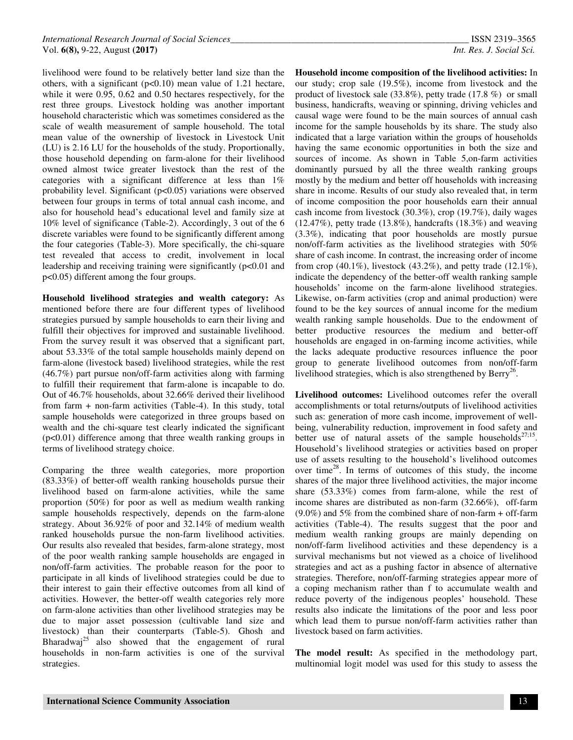livelihood were found to be relatively better land size than the others, with a significant  $(p<0.10)$  mean value of 1.21 hectare, while it were 0.95, 0.62 and 0.50 hectares respectively, for the rest three groups. Livestock holding was another important household characteristic which was sometimes considered as the scale of wealth measurement of sample household. The total mean value of the ownership of livestock in Livestock Unit (LU) is 2.16 LU for the households of the study. Proportionally, those household depending on farm-alone for their livelihood owned almost twice greater livestock than the rest of the categories with a significant difference at less than 1% probability level. Significant (p<0.05) variations were observed between four groups in terms of total annual cash income, and also for household head's educational level and family size at 10% level of significance (Table-2). Accordingly, 3 out of the 6 discrete variables were found to be significantly different among the four categories (Table-3). More specifically, the chi-square test revealed that access to credit, involvement in local leadership and receiving training were significantly (p<0.01 and p<0.05) different among the four groups.

**Household livelihood strategies and wealth category:** As mentioned before there are four different types of livelihood strategies pursued by sample households to earn their living and fulfill their objectives for improved and sustainable livelihood. From the survey result it was observed that a significant part, about 53.33% of the total sample households mainly depend on farm-alone (livestock based) livelihood strategies, while the rest (46.7%) part pursue non/off-farm activities along with farming to fulfill their requirement that farm-alone is incapable to do. Out of 46.7% households, about 32.66% derived their livelihood from farm + non-farm activities (Table-4). In this study, total sample households were categorized in three groups based on wealth and the chi-square test clearly indicated the significant (p<0.01) difference among that three wealth ranking groups in terms of livelihood strategy choice.

Comparing the three wealth categories, more proportion (83.33%) of better-off wealth ranking households pursue their livelihood based on farm-alone activities, while the same proportion (50%) for poor as well as medium wealth ranking sample households respectively, depends on the farm-alone strategy. About 36.92% of poor and 32.14% of medium wealth ranked households pursue the non-farm livelihood activities. Our results also revealed that besides, farm-alone strategy, most of the poor wealth ranking sample households are engaged in non/off-farm activities. The probable reason for the poor to participate in all kinds of livelihood strategies could be due to their interest to gain their effective outcomes from all kind of activities. However, the better-off wealth categories rely more on farm-alone activities than other livelihood strategies may be due to major asset possession (cultivable land size and livestock) than their counterparts (Table-5). Ghosh and Bharadwaj<sup>25</sup> also showed that the engagement of rural households in non-farm activities is one of the survival strategies.

**Household income composition of the livelihood activities:** In our study; crop sale (19.5%), income from livestock and the product of livestock sale (33.8%), petty trade (17.8 %) or small business, handicrafts, weaving or spinning, driving vehicles and causal wage were found to be the main sources of annual cash income for the sample households by its share. The study also indicated that a large variation within the groups of households having the same economic opportunities in both the size and sources of income. As shown in Table 5,on-farm activities dominantly pursued by all the three wealth ranking groups mostly by the medium and better off households with increasing share in income. Results of our study also revealed that, in term of income composition the poor households earn their annual cash income from livestock (30.3%), crop (19.7%), daily wages  $(12.47\%)$ , petty trade  $(13.8\%)$ , handcrafts  $(18.3\%)$  and weaving (3.3%), indicating that poor households are mostly pursue non/off-farm activities as the livelihood strategies with 50% share of cash income. In contrast, the increasing order of income from crop  $(40.1\%)$ , livestock  $(43.2\%)$ , and petty trade  $(12.1\%)$ , indicate the dependency of the better-off wealth ranking sample households' income on the farm-alone livelihood strategies. Likewise, on-farm activities (crop and animal production) were found to be the key sources of annual income for the medium wealth ranking sample households. Due to the endowment of better productive resources the medium and better-off households are engaged in on-farming income activities, while the lacks adequate productive resources influence the poor group to generate livelihood outcomes from non/off-farm livelihood strategies, which is also strengthened by  $\text{Berry}^{26}$ .

**Livelihood outcomes:** Livelihood outcomes refer the overall accomplishments or total returns/outputs of livelihood activities such as: generation of more cash income, improvement of wellbeing, vulnerability reduction, improvement in food safety and better use of natural assets of the sample households<sup>27;15</sup>. Household's livelihood strategies or activities based on proper use of assets resulting to the household's livelihood outcomes over time<sup>28</sup>. In terms of outcomes of this study, the income shares of the major three livelihood activities, the major income share (53.33%) comes from farm-alone, while the rest of income shares are distributed as non-farm (32.66%), off-farm (9.0%) and 5% from the combined share of non-farm + off-farm activities (Table-4). The results suggest that the poor and medium wealth ranking groups are mainly depending on non/off-farm livelihood activities and these dependency is a survival mechanisms but not viewed as a choice of livelihood strategies and act as a pushing factor in absence of alternative strategies. Therefore, non/off-farming strategies appear more of a coping mechanism rather than f to accumulate wealth and reduce poverty of the indigenous peoples' household. These results also indicate the limitations of the poor and less poor which lead them to pursue non/off-farm activities rather than livestock based on farm activities.

**The model result:** As specified in the methodology part, multinomial logit model was used for this study to assess the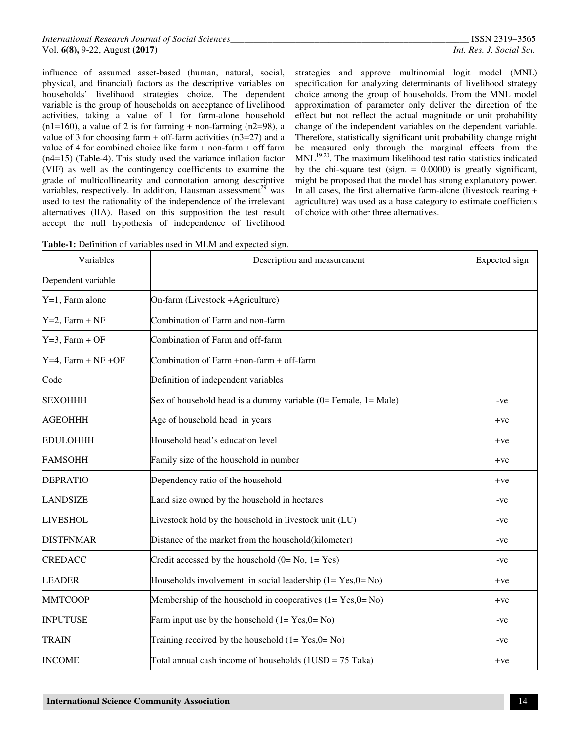influence of assumed asset-based (human, natural, social, physical, and financial) factors as the descriptive variables on households' livelihood strategies choice. The dependent variable is the group of households on acceptance of livelihood activities, taking a value of 1 for farm-alone household  $(n1=160)$ , a value of 2 is for farming + non-farming  $(n2=98)$ , a value of 3 for choosing farm + off-farm activities  $(n3=27)$  and a value of 4 for combined choice like farm + non-farm + off farm (n4=15) (Table-4). This study used the variance inflation factor (VIF) as well as the contingency coefficients to examine the grade of multicollinearity and connotation among descriptive variables, respectively. In addition, Hausman assessment<sup>29</sup> was used to test the rationality of the independence of the irrelevant alternatives (IIA). Based on this supposition the test result accept the null hypothesis of independence of livelihood

strategies and approve multinomial logit model (MNL) specification for analyzing determinants of livelihood strategy choice among the group of households. From the MNL model approximation of parameter only deliver the direction of the effect but not reflect the actual magnitude or unit probability change of the independent variables on the dependent variable. Therefore, statistically significant unit probability change might be measured only through the marginal effects from the MNL19,20. The maximum likelihood test ratio statistics indicated by the chi-square test (sign.  $= 0.0000$ ) is greatly significant, might be proposed that the model has strong explanatory power. In all cases, the first alternative farm-alone (livestock rearing + agriculture) was used as a base category to estimate coefficients of choice with other three alternatives.

|  |  |  |  |  | Table-1: Definition of variables used in MLM and expected sign. |
|--|--|--|--|--|-----------------------------------------------------------------|
|--|--|--|--|--|-----------------------------------------------------------------|

| Variables             | Description and measurement                                        | Expected sign |
|-----------------------|--------------------------------------------------------------------|---------------|
| Dependent variable    |                                                                    |               |
| $Y=1$ , Farm alone    | On-farm (Livestock +Agriculture)                                   |               |
| $Y=2$ , Farm + NF     | Combination of Farm and non-farm                                   |               |
| $Y=3$ , Farm + OF     | Combination of Farm and off-farm                                   |               |
| $Y=4$ , Farm + NF +OF | Combination of Farm +non-farm + off-farm                           |               |
| Code                  | Definition of independent variables                                |               |
| <b>SEXOHHH</b>        | Sex of household head is a dummy variable $(0=$ Female, $1=$ Male) | -ve           |
| <b>AGEOHHH</b>        | Age of household head in years                                     | $+ve$         |
| <b>EDULOHHH</b>       | Household head's education level                                   | $+ve$         |
| <b>FAMSOHH</b>        | Family size of the household in number                             | $+ve$         |
| <b>DEPRATIO</b>       | Dependency ratio of the household                                  | $+ve$         |
| <b>LANDSIZE</b>       | Land size owned by the household in hectares                       | -ve           |
| <b>LIVESHOL</b>       | Livestock hold by the household in livestock unit (LU)             | -ve           |
| <b>DISTFNMAR</b>      | Distance of the market from the household(kilometer)               | -ve           |
| <b>CREDACC</b>        | Credit accessed by the household $(0=No, 1=Yes)$                   | -ve           |
| <b>LEADER</b>         | Households involvement in social leadership $(1 = Yes, 0 = No)$    | $+ve$         |
| <b>MMTCOOP</b>        | Membership of the household in cooperatives $(1 = Yes, 0 = No)$    | $+ve$         |
| <b>INPUTUSE</b>       | Farm input use by the household $(1 = Yes, 0 = No)$                | -ve           |
| <b>TRAIN</b>          | Training received by the household $(1 = Yes, 0 = No)$             | -ve           |
| <b>INCOME</b>         | Total annual cash income of households $(1USD = 75$ Taka)          | $+ve$         |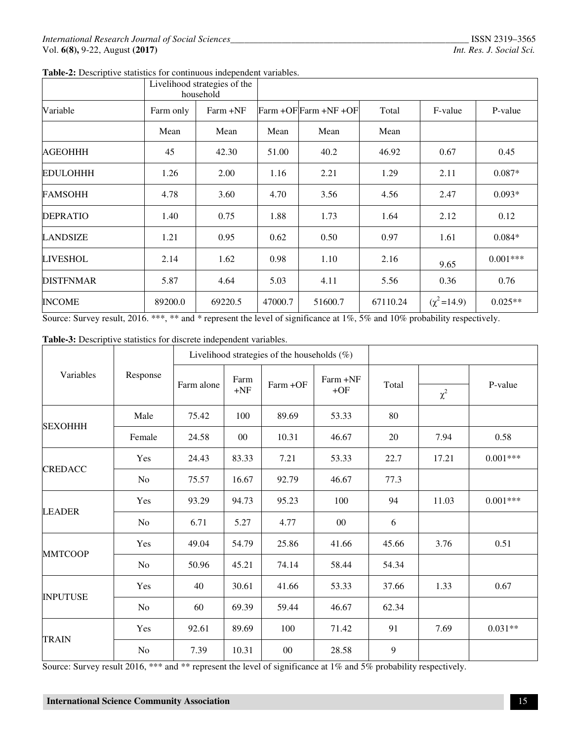|  |  | Table-2: Descriptive statistics for continuous independent variables. |  |
|--|--|-----------------------------------------------------------------------|--|
|  |  |                                                                       |  |

|                  |           | Livelihood strategies of the<br>household |         |                       |          |                   |            |  |  |  |
|------------------|-----------|-------------------------------------------|---------|-----------------------|----------|-------------------|------------|--|--|--|
| Variable         | Farm only | Farm +NF                                  |         | Farm +OF Farm +NF +OF | Total    | F-value           | P-value    |  |  |  |
|                  | Mean      | Mean                                      | Mean    | Mean                  | Mean     |                   |            |  |  |  |
| <b>AGEOHHH</b>   | 45        | 42.30                                     | 51.00   | 40.2                  | 46.92    | 0.67              | 0.45       |  |  |  |
| <b>EDULOHHH</b>  | 1.26      | 2.00                                      | 1.16    | 2.21                  | 1.29     | 2.11              | $0.087*$   |  |  |  |
| <b>FAMSOHH</b>   | 4.78      | 3.60                                      | 4.70    | 3.56                  | 4.56     | 2.47              | $0.093*$   |  |  |  |
| <b>DEPRATIO</b>  | 1.40      | 0.75                                      | 1.88    | 1.73                  | 1.64     | 2.12              | 0.12       |  |  |  |
| <b>LANDSIZE</b>  | 1.21      | 0.95                                      | 0.62    | 0.50                  | 0.97     | 1.61              | $0.084*$   |  |  |  |
| <b>LIVESHOL</b>  | 2.14      | 1.62                                      | 0.98    | 1.10                  | 2.16     | 9.65              | $0.001***$ |  |  |  |
| <b>DISTFNMAR</b> | 5.87      | 4.64                                      | 5.03    | 4.11                  | 5.56     | 0.36              | 0.76       |  |  |  |
| <b>INCOME</b>    | 89200.0   | 69220.5                                   | 47000.7 | 51600.7               | 67110.24 | $(\chi^2 = 14.9)$ | $0.025**$  |  |  |  |

Source: Survey result, 2016. \*\*\*, \*\* and \* represent the level of significance at 1%, 5% and 10% probability respectively.

# **Table-3:** Descriptive statistics for discrete independent variables.

|                 |                | Livelihood strategies of the households $(\%)$ |               |          |                   |       |          |            |
|-----------------|----------------|------------------------------------------------|---------------|----------|-------------------|-------|----------|------------|
| Variables       | Response       | Farm alone                                     | Farm<br>$+NF$ | Farm +OF | Farm +NF<br>$+OF$ | Total | $\chi^2$ | P-value    |
|                 | Male           | 75.42                                          | 100           | 89.69    | 53.33             | 80    |          |            |
| <b>SEXOHHH</b>  | Female         | 24.58                                          | $00\,$        | 10.31    | 46.67             | 20    | 7.94     | 0.58       |
|                 | Yes            | 24.43                                          | 83.33         | 7.21     | 53.33             | 22.7  | 17.21    | $0.001***$ |
| <b>CREDACC</b>  | N <sub>o</sub> | 75.57                                          | 16.67         | 92.79    | 46.67             | 77.3  |          |            |
|                 | Yes            | 93.29                                          | 94.73         | 95.23    | 100               | 94    | 11.03    | $0.001***$ |
| <b>LEADER</b>   | N <sub>o</sub> | 6.71                                           | 5.27          | 4.77     | $00\,$            | 6     |          |            |
|                 | Yes            | 49.04                                          | 54.79         | 25.86    | 41.66             | 45.66 | 3.76     | 0.51       |
| <b>MMTCOOP</b>  | N <sub>o</sub> | 50.96                                          | 45.21         | 74.14    | 58.44             | 54.34 |          |            |
| <b>INPUTUSE</b> | Yes            | 40                                             | 30.61         | 41.66    | 53.33             | 37.66 | 1.33     | 0.67       |
|                 | N <sub>o</sub> | 60                                             | 69.39         | 59.44    | 46.67             | 62.34 |          |            |
|                 | Yes            | 92.61                                          | 89.69         | 100      | 71.42             | 91    | 7.69     | $0.031**$  |
| <b>TRAIN</b>    | No             | 7.39                                           | 10.31         | $00\,$   | 28.58             | 9     |          |            |

Source: Survey result 2016, \*\*\* and \*\* represent the level of significance at 1% and 5% probability respectively.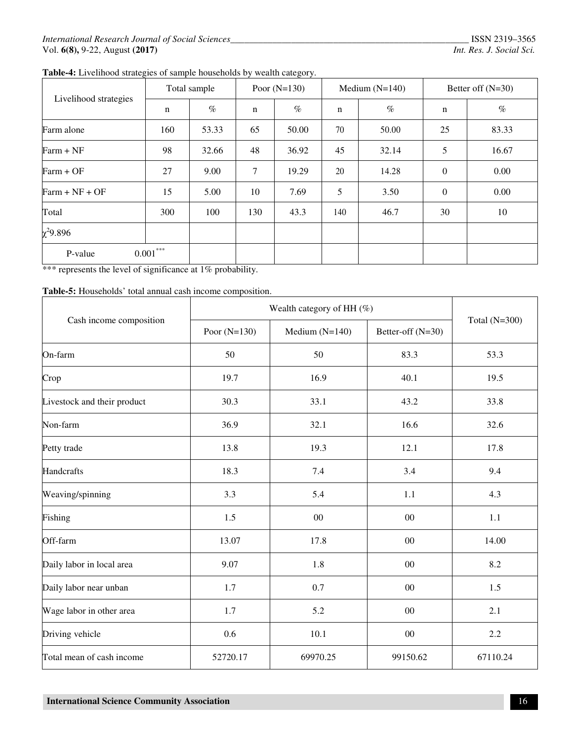**Table-4:** Livelihood strategies of sample households by wealth category.

| Livelihood strategies | Total sample |       | Poor $(N=130)$ |       |             | Medium $(N=140)$ | Better off $(N=30)$ |       |  |
|-----------------------|--------------|-------|----------------|-------|-------------|------------------|---------------------|-------|--|
|                       | n            | $\%$  | $\mathbf n$    | $\%$  | $\mathbf n$ | $\%$             | n                   | $\%$  |  |
| Farm alone            | 160          | 53.33 | 65             | 50.00 | 70          | 50.00            | 25                  | 83.33 |  |
| $Farm + NF$           | 98           | 32.66 | 48             | 36.92 | 45          | 32.14            | 5                   | 16.67 |  |
| $Farm + OF$           | 27           | 9.00  | $\tau$         | 19.29 | 20          | 14.28            | $\mathbf{0}$        | 0.00  |  |
| $Farm + NF + OF$      | 15           | 5.00  | 10             | 7.69  | 5           | 3.50             | $\theta$            | 0.00  |  |
| Total                 | 300          | 100   | 130            | 43.3  | 140         | 46.7             | 30                  | 10    |  |
| $\chi^2$ 9.896        |              |       |                |       |             |                  |                     |       |  |
| $0.001***$<br>P-value |              |       |                |       |             |                  |                     |       |  |

\*\*\* represents the level of significance at 1% probability.

**Table-5:** Households' total annual cash income composition.

|                             | Wealth category of HH $(\%)$ |                  |                   |                 |
|-----------------------------|------------------------------|------------------|-------------------|-----------------|
| Cash income composition     | Poor $(N=130)$               | Medium $(N=140)$ | Better-off (N=30) | Total $(N=300)$ |
| On-farm                     | 50                           | 50               | 83.3              | 53.3            |
| Crop                        | 19.7                         | 16.9             | 40.1              | 19.5            |
| Livestock and their product | 30.3                         | 33.1             | 43.2              | 33.8            |
| Non-farm                    | 36.9                         | 32.1             | 16.6              | 32.6            |
| Petty trade                 | 13.8                         | 19.3             | 12.1              | 17.8            |
| Handcrafts                  | 18.3                         | 7.4              | 3.4               | 9.4             |
| Weaving/spinning            | 3.3                          | 5.4              | 1.1               | 4.3             |
| Fishing                     | 1.5                          | 00               | $00\,$            | 1.1             |
| Off-farm                    | 13.07                        | 17.8             | $00\,$            | 14.00           |
| Daily labor in local area   | 9.07                         | 1.8              | $00\,$            | 8.2             |
| Daily labor near unban      | 1.7                          | 0.7              | 00                | 1.5             |
| Wage labor in other area    | 1.7                          | 5.2              | 00                | 2.1             |
| Driving vehicle             | 0.6                          | 10.1             | 00                | 2.2             |
| Total mean of cash income   | 52720.17                     | 69970.25         | 99150.62          | 67110.24        |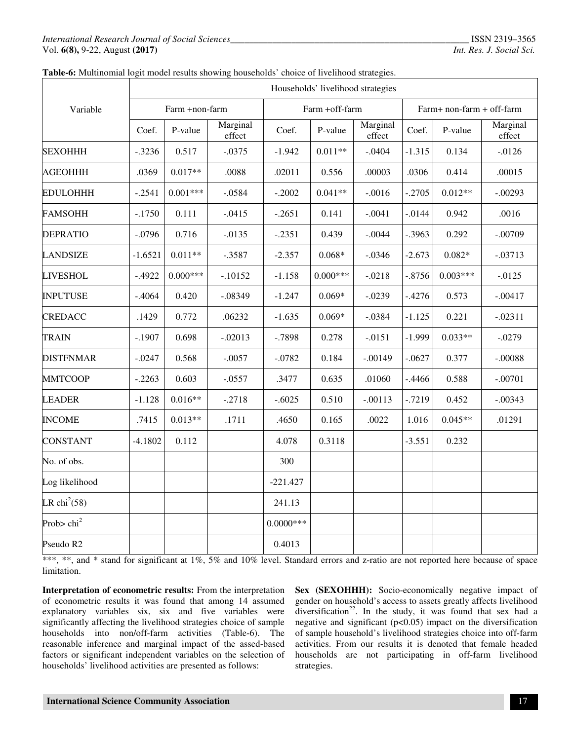|                          |           | Households' livelihood strategies |                    |              |                |                    |           |                           |                    |  |  |  |  |
|--------------------------|-----------|-----------------------------------|--------------------|--------------|----------------|--------------------|-----------|---------------------------|--------------------|--|--|--|--|
| Variable                 |           | Farm +non-farm                    |                    |              | Farm +off-farm |                    |           | Farm+ non-farm + off-farm |                    |  |  |  |  |
|                          | Coef.     | P-value                           | Marginal<br>effect | Coef.        | P-value        | Marginal<br>effect | Coef.     | P-value                   | Marginal<br>effect |  |  |  |  |
| <b>SEXOHHH</b>           | $-.3236$  | 0.517                             | $-.0375$           | $-1.942$     | $0.011**$      | $-.0404$           | $-1.315$  | 0.134                     | $-0.0126$          |  |  |  |  |
| <b>AGEOHHH</b>           | .0369     | $0.017**$                         | .0088              | .02011       | 0.556          | .00003             | .0306     | 0.414                     | .00015             |  |  |  |  |
| <b>EDULOHHH</b>          | $-.2541$  | $0.001***$                        | $-.0584$           | $-.2002$     | $0.041**$      | $-.0016$           | $-.2705$  | $0.012**$                 | $-.00293$          |  |  |  |  |
| <b>FAMSOHH</b>           | $-.1750$  | 0.111                             | $-.0415$           | $-.2651$     | 0.141          | $-.0041$           | $-.0144$  | 0.942                     | .0016              |  |  |  |  |
| <b>DEPRATIO</b>          | $-.0796$  | 0.716                             | $-.0135$           | $-.2351$     | 0.439          | $-.0044$           | $-.3963$  | 0.292                     | $-.00709$          |  |  |  |  |
| <b>LANDSIZE</b>          | $-1.6521$ | $0.011**$                         | $-.3587$           | $-2.357$     | $0.068*$       | $-.0346$           | $-2.673$  | $0.082*$                  | $-.03713$          |  |  |  |  |
| <b>LIVESHOL</b>          | $-.4922$  | $0.000***$                        | $-.10152$          | $-1.158$     | $0.000***$     | $-.0218$           | $-.8756$  | $0.003***$                | $-0.0125$          |  |  |  |  |
| <b>INPUTUSE</b>          | $-.4064$  | 0.420                             | $-.08349$          | $-1.247$     | $0.069*$       | $-.0239$           | $-.4276$  | 0.573                     | $-.00417$          |  |  |  |  |
| <b>CREDACC</b>           | .1429     | 0.772                             | .06232             | $-1.635$     | $0.069*$       | $-.0384$           | $-1.125$  | 0.221                     | $-.02311$          |  |  |  |  |
| <b>TRAIN</b>             | $-.1907$  | 0.698                             | $-.02013$          | $-.7898$     | 0.278          | $-.0151$           | $-1.999$  | $0.033**$                 | $-.0279$           |  |  |  |  |
| <b>DISTFNMAR</b>         | $-.0247$  | 0.568                             | $-.0057$           | $-.0782$     | 0.184          | $-.00149$          | $-.0627$  | 0.377                     | $-.00088$          |  |  |  |  |
| <b>MMTCOOP</b>           | $-.2263$  | 0.603                             | $-.0557$           | .3477        | 0.635          | .01060             | $-.4466$  | 0.588                     | $-.00701$          |  |  |  |  |
| <b>LEADER</b>            | $-1.128$  | $0.016**$                         | $-.2718$           | $-.6025$     | 0.510          | $-.00113$          | $-0.7219$ | 0.452                     | $-.00343$          |  |  |  |  |
| <b>INCOME</b>            | .7415     | $0.013**$                         | .1711              | .4650        | 0.165          | .0022              | 1.016     | $0.045**$                 | .01291             |  |  |  |  |
| <b>CONSTANT</b>          | $-4.1802$ | 0.112                             |                    | 4.078        | 0.3118         |                    | $-3.551$  | 0.232                     |                    |  |  |  |  |
| No. of obs.              |           |                                   |                    | 300          |                |                    |           |                           |                    |  |  |  |  |
| Log likelihood           |           |                                   |                    | $-221.427$   |                |                    |           |                           |                    |  |  |  |  |
| LR chi <sup>2</sup> (58) |           |                                   |                    | 241.13       |                |                    |           |                           |                    |  |  |  |  |
| Prob> $\text{chi}^2$     |           |                                   |                    | $0.0000$ *** |                |                    |           |                           |                    |  |  |  |  |
| Pseudo R2                |           |                                   |                    | 0.4013       |                |                    |           |                           |                    |  |  |  |  |

#### **Table-6:** Multinomial logit model results showing households' choice of livelihood strategies.

\*\*\*, \*\*, and \* stand for significant at 1%, 5% and 10% level. Standard errors and z-ratio are not reported here because of space limitation.

**Interpretation of econometric results:** From the interpretation of econometric results it was found that among 14 assumed explanatory variables six, six and five variables were significantly affecting the livelihood strategies choice of sample households into non/off-farm activities (Table-6). The reasonable inference and marginal impact of the assed-based factors or significant independent variables on the selection of households' livelihood activities are presented as follows:

Sex (SEXOHHH): Socio-economically negative impact of gender on household's access to assets greatly affects livelihood  $\frac{1}{2}$  diversification<sup>22</sup>. In the study, it was found that sex had a negative and significant  $(p<0.05)$  impact on the diversification of sample household's livelihood strategies choice into off-farm activities. From our results it is denoted that female headed households are not participating in off-farm livelihood strategies.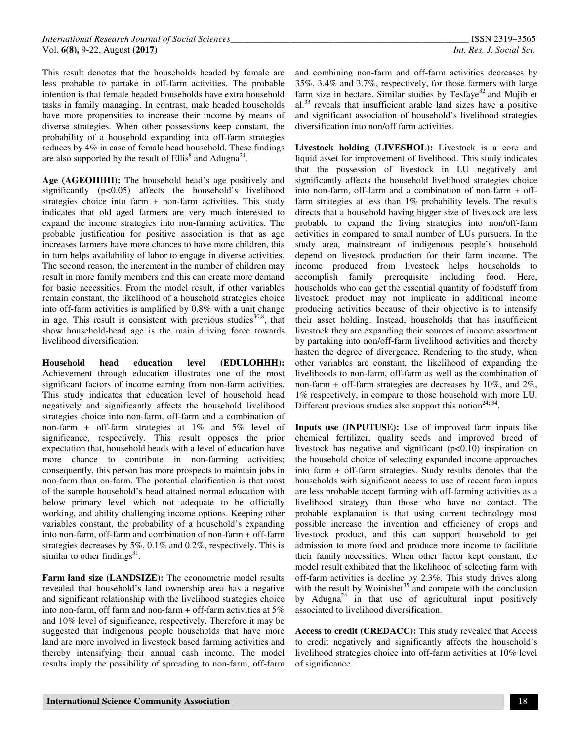This result denotes that the households headed by female are less probable to partake in off-farm activities. The probable intention is that female headed households have extra household tasks in family managing. In contrast, male headed households have more propensities to increase their income by means of diverse strategies. When other possessions keep constant, the probability of a household expanding into off-farm strategies reduces by 4% in case of female head household. These findings are also supported by the result of Ellis<sup>8</sup> and Adugna<sup>24</sup>.

**Age (AGEOHHH):** The household head's age positively and significantly (p<0.05) affects the household's livelihood strategies choice into farm + non-farm activities. This study indicates that old aged farmers are very much interested to expand the income strategies into non-farming activities. The probable justification for positive association is that as age increases farmers have more chances to have more children, this in turn helps availability of labor to engage in diverse activities. The second reason, the increment in the number of children may result in more family members and this can create more demand for basic necessities. From the model result, if other variables remain constant, the likelihood of a household strategies choice into off-farm activities is amplified by 0.8% with a unit change in age. This result is consistent with previous studies<sup>30,8</sup>, that show household-head age is the main driving force towards livelihood diversification.

**Household head education level (EDULOHHH):**  Achievement through education illustrates one of the most significant factors of income earning from non-farm activities. This study indicates that education level of household head negatively and significantly affects the household livelihood strategies choice into non-farm, off-farm and a combination of non-farm + off-farm strategies at 1% and 5% level of significance, respectively. This result opposes the prior expectation that, household heads with a level of education have more chance to contribute in non-farming activities; consequently, this person has more prospects to maintain jobs in non-farm than on-farm. The potential clarification is that most of the sample household's head attained normal education with below primary level which not adequate to be officially working, and ability challenging income options. Keeping other variables constant, the probability of a household's expanding into non-farm, off-farm and combination of non-farm + off-farm strategies decreases by 5%, 0.1% and 0.2%, respectively. This is similar to other findings $^{31}$ .

**Farm land size (LANDSIZE):** The econometric model results revealed that household's land ownership area has a negative and significant relationship with the livelihood strategies choice into non-farm, off farm and non-farm + off-farm activities at  $5\%$ and 10% level of significance, respectively. Therefore it may be suggested that indigenous people households that have more land are more involved in livestock based farming activities and thereby intensifying their annual cash income. The model results imply the possibility of spreading to non-farm, off-farm

and combining non-farm and off-farm activities decreases by 35%, 3.4% and 3.7%, respectively, for those farmers with large farm size in hectare. Similar studies by Tesfaye<sup>32</sup> and Mujib et  $a^{33}$  reveals that insufficient arable land sizes have a positive and significant association of household's livelihood strategies diversification into non/off farm activities.

**Livestock holding (LIVESHOL):** Livestock is a core and liquid asset for improvement of livelihood. This study indicates that the possession of livestock in LU negatively and significantly affects the household livelihood strategies choice into non-farm, off-farm and a combination of non-farm + offfarm strategies at less than 1% probability levels. The results directs that a household having bigger size of livestock are less probable to expand the living strategies into non/off-farm activities in compared to small number of LUs pursuers. In the study area, mainstream of indigenous people's household depend on livestock production for their farm income. The income produced from livestock helps households to accomplish family prerequisite including food. Here, households who can get the essential quantity of foodstuff from livestock product may not implicate in additional income producing activities because of their objective is to intensify their asset holding. Instead, households that has insufficient livestock they are expanding their sources of income assortment by partaking into non/off-farm livelihood activities and thereby hasten the degree of divergence. Rendering to the study, when other variables are constant, the likelihood of expanding the livelihoods to non-farm, off-farm as well as the combination of non-farm + off-farm strategies are decreases by 10%, and 2%, 1% respectively, in compare to those household with more LU. Different previous studies also support this notion<sup>24; 34</sup>.

**Inputs use (INPUTUSE):** Use of improved farm inputs like chemical fertilizer, quality seeds and improved breed of livestock has negative and significant  $(p<0.10)$  inspiration on the household choice of selecting expanded income approaches into farm + off-farm strategies. Study results denotes that the households with significant access to use of recent farm inputs are less probable accept farming with off-farming activities as a livelihood strategy than those who have no contact. The probable explanation is that using current technology most possible increase the invention and efficiency of crops and livestock product, and this can support household to get admission to more food and produce more income to facilitate their family necessities. When other factor kept constant, the model result exhibited that the likelihood of selecting farm with off-farm activities is decline by 2.3%. This study drives along with the result by Woinishet<sup>35</sup> and compete with the conclusion by Adugna<sup>24</sup> in that use of agricultural input positively associated to livelihood diversification.

**Access to credit (CREDACC):** This study revealed that Access to credit negatively and significantly affects the household's livelihood strategies choice into off-farm activities at 10% level of significance.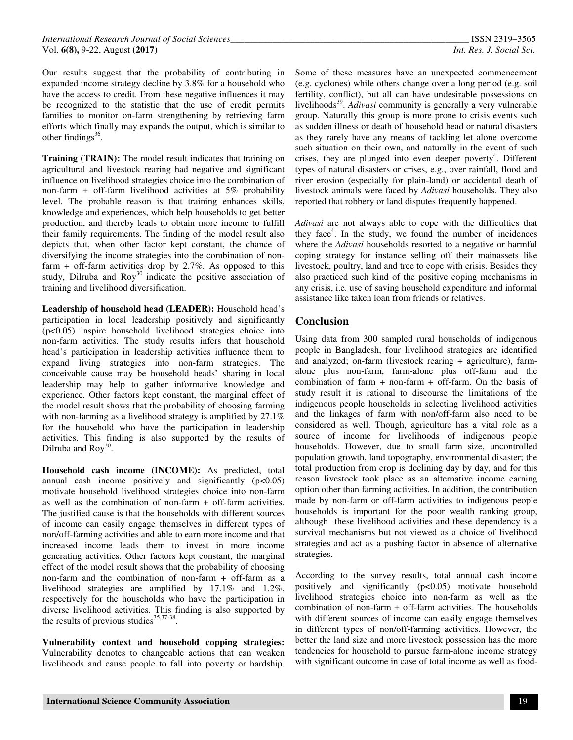Our results suggest that the probability of contributing in expanded income strategy decline by 3.8% for a household who have the access to credit. From these negative influences it may be recognized to the statistic that the use of credit permits families to monitor on-farm strengthening by retrieving farm efforts which finally may expands the output, which is similar to other findings $^{36}$ .

**Training (TRAIN):** The model result indicates that training on agricultural and livestock rearing had negative and significant influence on livelihood strategies choice into the combination of non-farm + off-farm livelihood activities at  $5\%$  probability level. The probable reason is that training enhances skills, knowledge and experiences, which help households to get better production, and thereby leads to obtain more income to fulfill their family requirements. The finding of the model result also depicts that, when other factor kept constant, the chance of diversifying the income strategies into the combination of nonfarm  $+$  off-farm activities drop by 2.7%. As opposed to this study, Dilruba and  $\text{Roy}^{30}$  indicate the positive association of training and livelihood diversification.

**Leadership of household head (LEADER):** Household head's participation in local leadership positively and significantly (p<0.05) inspire household livelihood strategies choice into non-farm activities. The study results infers that household head's participation in leadership activities influence them to expand living strategies into non-farm strategies. The conceivable cause may be household heads' sharing in local leadership may help to gather informative knowledge and experience. Other factors kept constant, the marginal effect of the model result shows that the probability of choosing farming with non-farming as a livelihood strategy is amplified by 27.1% for the household who have the participation in leadership activities. This finding is also supported by the results of Dilruba and  $\text{Roy}^{30}$ .

**Household cash income (INCOME):** As predicted, total annual cash income positively and significantly  $(p<0.05)$ motivate household livelihood strategies choice into non-farm as well as the combination of non-farm  $+$  off-farm activities. The justified cause is that the households with different sources of income can easily engage themselves in different types of non/off-farming activities and able to earn more income and that increased income leads them to invest in more income generating activities. Other factors kept constant, the marginal effect of the model result shows that the probability of choosing non-farm and the combination of non-farm  $+$  off-farm as a livelihood strategies are amplified by 17.1% and 1.2%, respectively for the households who have the participation in diverse livelihood activities. This finding is also supported by the results of previous studies $35,37-38$ .

**Vulnerability context and household copping strategies:**  Vulnerability denotes to changeable actions that can weaken livelihoods and cause people to fall into poverty or hardship.

Some of these measures have an unexpected commencement (e.g. cyclones) while others change over a long period (e.g. soil fertility, conflict), but all can have undesirable possessions on livelihoods<sup>39</sup>. *Adivasi* community is generally a very vulnerable group. Naturally this group is more prone to crisis events such as sudden illness or death of household head or natural disasters as they rarely have any means of tackling let alone overcome such situation on their own, and naturally in the event of such crises, they are plunged into even deeper poverty<sup>4</sup>. Different types of natural disasters or crises, e.g., over rainfall, flood and river erosion (especially for plain-land) or accidental death of livestock animals were faced by *Adivasi* households. They also reported that robbery or land disputes frequently happened.

*Adivasi* are not always able to cope with the difficulties that they face<sup>4</sup>. In the study, we found the number of incidences where the *Adivasi* households resorted to a negative or harmful coping strategy for instance selling off their mainassets like livestock, poultry, land and tree to cope with crisis. Besides they also practiced such kind of the positive coping mechanisms in any crisis, i.e. use of saving household expenditure and informal assistance like taken loan from friends or relatives.

# **Conclusion**

Using data from 300 sampled rural households of indigenous people in Bangladesh, four livelihood strategies are identified and analyzed; on-farm (livestock rearing + agriculture), farmalone plus non-farm, farm-alone plus off-farm and the combination of farm  $+$  non-farm  $+$  off-farm. On the basis of study result it is rational to discourse the limitations of the indigenous people households in selecting livelihood activities and the linkages of farm with non/off-farm also need to be considered as well. Though, agriculture has a vital role as a source of income for livelihoods of indigenous people households. However, due to small farm size, uncontrolled population growth, land topography, environmental disaster; the total production from crop is declining day by day, and for this reason livestock took place as an alternative income earning option other than farming activities. In addition, the contribution made by non-farm or off-farm activities to indigenous people households is important for the poor wealth ranking group, although these livelihood activities and these dependency is a survival mechanisms but not viewed as a choice of livelihood strategies and act as a pushing factor in absence of alternative strategies.

According to the survey results, total annual cash income positively and significantly (p<0.05) motivate household livelihood strategies choice into non-farm as well as the combination of non-farm  $+$  off-farm activities. The households with different sources of income can easily engage themselves in different types of non/off-farming activities. However, the better the land size and more livestock possession has the more tendencies for household to pursue farm-alone income strategy with significant outcome in case of total income as well as food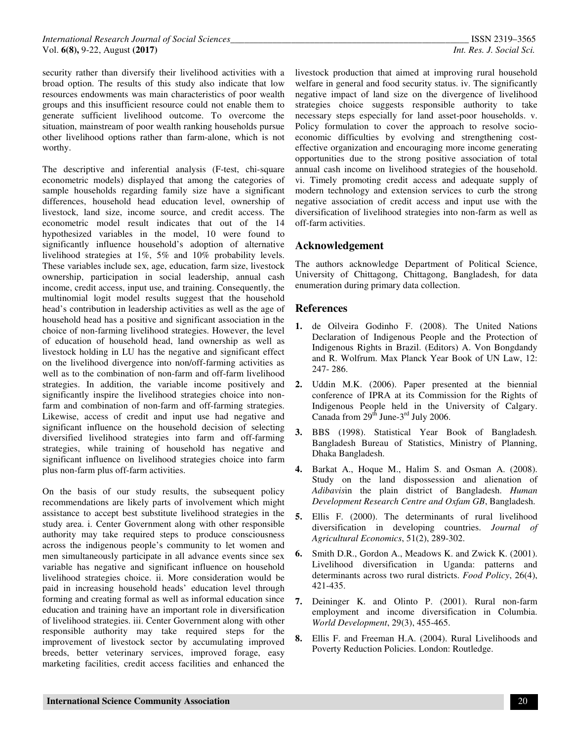security rather than diversify their livelihood activities with a broad option. The results of this study also indicate that low resources endowments was main characteristics of poor wealth groups and this insufficient resource could not enable them to generate sufficient livelihood outcome. To overcome the situation, mainstream of poor wealth ranking households pursue other livelihood options rather than farm-alone, which is not worthy.

The descriptive and inferential analysis (F-test, chi-square econometric models) displayed that among the categories of sample households regarding family size have a significant differences, household head education level, ownership of livestock, land size, income source, and credit access. The econometric model result indicates that out of the 14 hypothesized variables in the model, 10 were found to significantly influence household's adoption of alternative livelihood strategies at 1%, 5% and 10% probability levels. These variables include sex, age, education, farm size, livestock ownership, participation in social leadership, annual cash income, credit access, input use, and training. Consequently, the multinomial logit model results suggest that the household head's contribution in leadership activities as well as the age of household head has a positive and significant association in the choice of non-farming livelihood strategies. However, the level of education of household head, land ownership as well as livestock holding in LU has the negative and significant effect on the livelihood divergence into non/off-farming activities as well as to the combination of non-farm and off-farm livelihood strategies. In addition, the variable income positively and significantly inspire the livelihood strategies choice into nonfarm and combination of non-farm and off-farming strategies. Likewise, access of credit and input use had negative and significant influence on the household decision of selecting diversified livelihood strategies into farm and off-farming strategies, while training of household has negative and significant influence on livelihood strategies choice into farm plus non-farm plus off-farm activities.

On the basis of our study results, the subsequent policy recommendations are likely parts of involvement which might assistance to accept best substitute livelihood strategies in the study area. i. Center Government along with other responsible authority may take required steps to produce consciousness across the indigenous people's community to let women and men simultaneously participate in all advance events since sex variable has negative and significant influence on household livelihood strategies choice. ii. More consideration would be paid in increasing household heads' education level through forming and creating formal as well as informal education since education and training have an important role in diversification of livelihood strategies. iii. Center Government along with other responsible authority may take required steps for the improvement of livestock sector by accumulating improved breeds, better veterinary services, improved forage, easy marketing facilities, credit access facilities and enhanced the

livestock production that aimed at improving rural household welfare in general and food security status. iv. The significantly negative impact of land size on the divergence of livelihood strategies choice suggests responsible authority to take necessary steps especially for land asset-poor households. v. Policy formulation to cover the approach to resolve socioeconomic difficulties by evolving and strengthening costeffective organization and encouraging more income generating opportunities due to the strong positive association of total annual cash income on livelihood strategies of the household. vi. Timely promoting credit access and adequate supply of modern technology and extension services to curb the strong negative association of credit access and input use with the diversification of livelihood strategies into non-farm as well as off-farm activities.

### **Acknowledgement**

The authors acknowledge Department of Political Science, University of Chittagong, Chittagong, Bangladesh, for data enumeration during primary data collection.

#### **References**

- **1.** de Oilveira Godinho F. (2008). The United Nations Declaration of Indigenous People and the Protection of Indigenous Rights in Brazil. (Editors) A. Von Bongdandy and R. Wolfrum. Max Planck Year Book of UN Law, 12: 247- 286.
- **2.** Uddin M.K. (2006). Paper presented at the biennial conference of IPRA at its Commission for the Rights of Indigenous People held in the University of Calgary. Canada from  $29<sup>th</sup>$  June-3<sup>rd</sup> July 2006.
- **3.** BBS (1998). Statistical Year Book of Bangladesh*.* Bangladesh Bureau of Statistics, Ministry of Planning, Dhaka Bangladesh.
- **4.** Barkat A., Hoque M., Halim S. and Osman A. (2008). Study on the land dispossession and alienation of *Adibavis*in the plain district of Bangladesh. *Human Development Research Centre and Oxfam GB*, Bangladesh.
- **5.** Ellis F. (2000). The determinants of rural livelihood diversification in developing countries. *Journal of Agricultural Economics*, 51(2), 289-302.
- **6.** Smith D.R., Gordon A., Meadows K. and Zwick K. (2001). Livelihood diversification in Uganda: patterns and determinants across two rural districts. *Food Policy*, 26(4), 421-435.
- **7.** Deininger K. and Olinto P. (2001). Rural non-farm employment and income diversification in Columbia. *World Development*, 29(3), 455-465.
- **8.** Ellis F. and Freeman H.A. (2004). Rural Livelihoods and Poverty Reduction Policies. London: Routledge.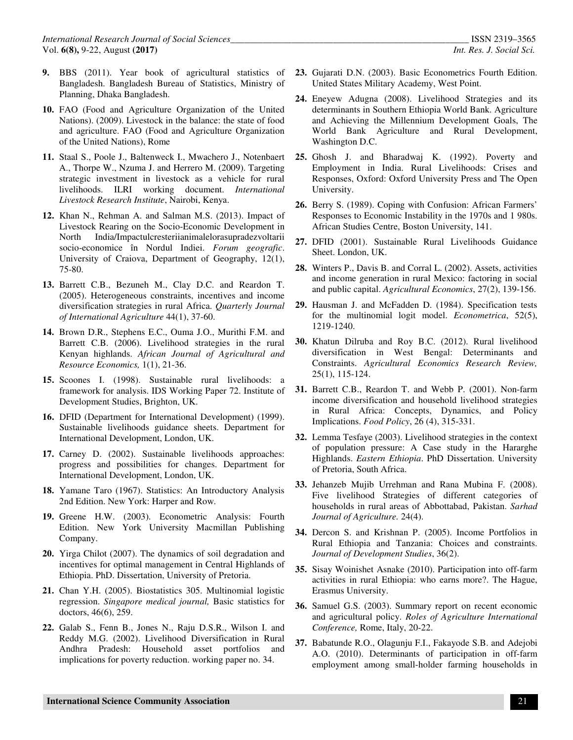- **9.** BBS (2011). Year book of agricultural statistics of Bangladesh. Bangladesh Bureau of Statistics, Ministry of Planning, Dhaka Bangladesh.
- **10.** FAO (Food and Agriculture Organization of the United Nations). (2009). Livestock in the balance: the state of food and agriculture. FAO (Food and Agriculture Organization of the United Nations), Rome
- **11.** Staal S., Poole J., Baltenweck I., Mwachero J., Notenbaert A., Thorpe W., Nzuma J. and Herrero M. (2009). Targeting strategic investment in livestock as a vehicle for rural livelihoods. ILRI working document. *International Livestock Research Institute*, Nairobi, Kenya.
- **12.** Khan N., Rehman A. and Salman M.S. (2013). Impact of Livestock Rearing on the Socio-Economic Development in North India/Impactulcresteriianimalelorasupradezvoltarii socio-economice în Nordul Indiei. *Forum geografic*. University of Craiova, Department of Geography, 12(1), 75-80.
- **13.** Barrett C.B., Bezuneh M., Clay D.C. and Reardon T. (2005). Heterogeneous constraints, incentives and income diversification strategies in rural Africa. *Quarterly Journal of International Agriculture* 44(1), 37-60.
- **14.** Brown D.R., Stephens E.C., Ouma J.O., Murithi F.M. and Barrett C.B. (2006). Livelihood strategies in the rural Kenyan highlands. *African Journal of Agricultural and Resource Economics,* 1(1), 21-36.
- **15.** Scoones I. (1998). Sustainable rural livelihoods: a framework for analysis. IDS Working Paper 72. Institute of Development Studies, Brighton, UK.
- **16.** DFID (Department for International Development) (1999). Sustainable livelihoods guidance sheets. Department for International Development, London, UK.
- **17.** Carney D. (2002). Sustainable livelihoods approaches: progress and possibilities for changes. Department for International Development, London, UK.
- **18.** Yamane Taro (1967). Statistics: An Introductory Analysis 2nd Edition. New York: Harper and Row.
- **19.** Greene H.W. (2003). Econometric Analysis: Fourth Edition. New York University Macmillan Publishing Company.
- **20.** Yirga Chilot (2007). The dynamics of soil degradation and incentives for optimal management in Central Highlands of Ethiopia. PhD. Dissertation, University of Pretoria.
- **21.** Chan Y.H. (2005). Biostatistics 305. Multinomial logistic regression. *Singapore medical journal,* Basic statistics for doctors, 46(6), 259.
- **22.** Galab S., Fenn B., Jones N., Raju D.S.R., Wilson I. and Reddy M.G. (2002). Livelihood Diversification in Rural Andhra Pradesh: Household asset portfolios and implications for poverty reduction. working paper no. 34.
- **23.** Gujarati D.N. (2003). Basic Econometrics Fourth Edition. United States Military Academy, West Point.
- **24.** Eneyew Adugna (2008). Livelihood Strategies and its determinants in Southern Ethiopia World Bank. Agriculture and Achieving the Millennium Development Goals, The World Bank Agriculture and Rural Development, Washington D.C.
- **25.** Ghosh J. and Bharadwaj K. (1992). Poverty and Employment in India. Rural Livelihoods: Crises and Responses, Oxford: Oxford University Press and The Open University.
- **26.** Berry S. (1989). Coping with Confusion: African Farmers' Responses to Economic Instability in the 1970s and 1 980s. African Studies Centre, Boston University, 141.
- **27.** DFID (2001). Sustainable Rural Livelihoods Guidance Sheet. London, UK.
- **28.** Winters P., Davis B. and Corral L. (2002). Assets, activities and income generation in rural Mexico: factoring in social and public capital. *Agricultural Economics*, 27(2), 139-156.
- **29.** Hausman J. and McFadden D. (1984). Specification tests for the multinomial logit model. *Econometrica*, 52(5), 1219-1240.
- **30.** Khatun Dilruba and Roy B.C. (2012). Rural livelihood diversification in West Bengal: Determinants and Constraints. *Agricultural Economics Research Review,* 25(1), 115-124.
- **31.** Barrett C.B., Reardon T. and Webb P. (2001). Non-farm income diversification and household livelihood strategies in Rural Africa: Concepts, Dynamics, and Policy Implications. *Food Policy*, 26 (4), 315-331.
- **32.** Lemma Tesfaye (2003). Livelihood strategies in the context of population pressure: A Case study in the Hararghe Highlands. *Eastern Ethiopia*. PhD Dissertation. University of Pretoria, South Africa.
- **33.** Jehanzeb Mujib Urrehman and Rana Mubina F. (2008). Five livelihood Strategies of different categories of households in rural areas of Abbottabad, Pakistan. *Sarhad Journal of Agriculture.* 24(4).
- **34.** Dercon S. and Krishnan P. (2005). Income Portfolios in Rural Ethiopia and Tanzania: Choices and constraints. *Journal of Development Studies*, 36(2).
- **35.** Sisay Woinishet Asnake (2010). Participation into off-farm activities in rural Ethiopia: who earns more?. The Hague, Erasmus University.
- **36.** Samuel G.S. (2003). Summary report on recent economic and agricultural policy. *Roles of Agriculture International Conference,* Rome, Italy, 20-22.
- **37.** Babatunde R.O., Olagunju F.I., Fakayode S.B. and Adejobi A.O. (2010). Determinants of participation in off-farm employment among small-holder farming households in